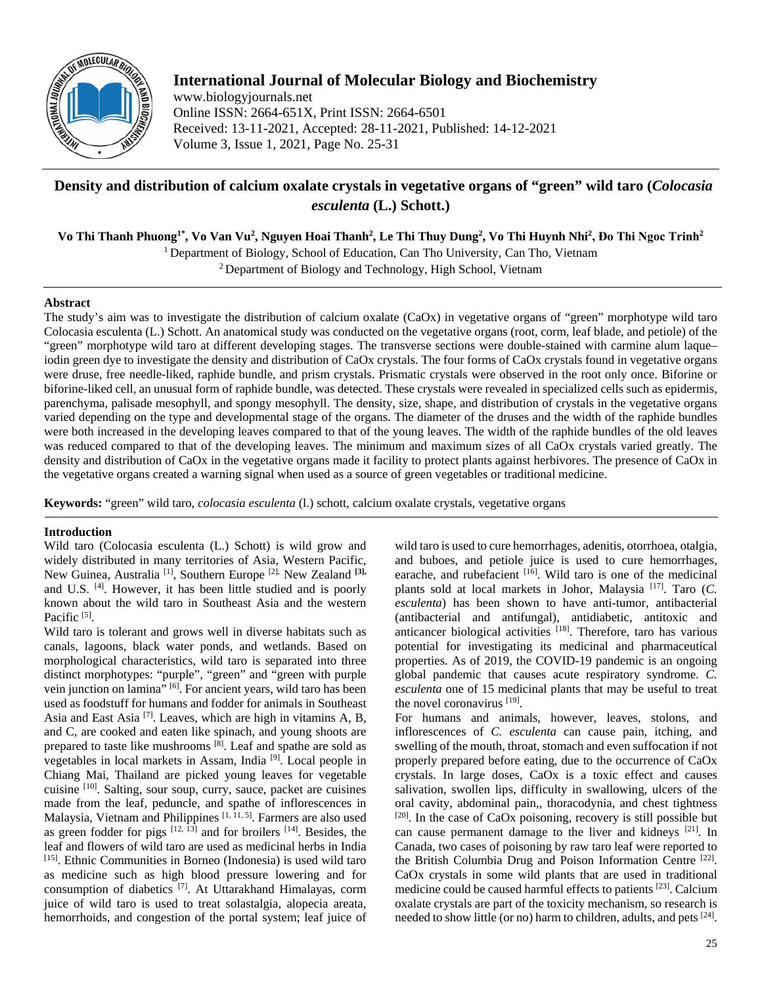

# **International Journal of Molecular Biology and Biochemistry**

www.biologyjournals.net Online ISSN: 2664-651X, Print ISSN: 2664-6501 Received: 13-11-2021, Accepted: 28-11-2021, Published: 14-12-2021 Volume 3, Issue 1, 2021, Page No. 25-31

# **Density and distribution of calcium oxalate crystals in vegetative organs of "green" wild taro (***Colocasia esculenta* **(L.) Schott.)**

 $\bf{V}$ o Thi Thanh Phuong<sup>1\*</sup>,  $\bf{V}$ o Van Vu<sup>2</sup>, Nguyen Hoai Thanh<sup>2</sup>, Le Thi Thuy Dung<sup>2</sup>,  $\bf{V}$ o Thi Huynh Nhi<sup>2</sup>, Đo Thi Ngoc Trinh<sup>2</sup>

<sup>1</sup> Department of Biology, School of Education, Can Tho University, Can Tho, Vietnam

<sup>2</sup> Department of Biology and Technology, High School, Vietnam

## **Abstract**

The study's aim was to investigate the distribution of calcium oxalate (CaOx) in vegetative organs of "green" morphotype wild taro Colocasia esculenta (L.) Schott. An anatomical study was conducted on the vegetative organs (root, corm, leaf blade, and petiole) of the "green" morphotype wild taro at different developing stages. The transverse sections were double-stained with carmine alum laque– iodin green dye to investigate the density and distribution of CaOx crystals. The four forms of CaOx crystals found in vegetative organs were druse, free needle-liked, raphide bundle, and prism crystals. Prismatic crystals were observed in the root only once. Biforine or biforine-liked cell, an unusual form of raphide bundle, was detected. These crystals were revealed in specialized cells such as epidermis, parenchyma, palisade mesophyll, and spongy mesophyll. The density, size, shape, and distribution of crystals in the vegetative organs varied depending on the type and developmental stage of the organs. The diameter of the druses and the width of the raphide bundles were both increased in the developing leaves compared to that of the young leaves. The width of the raphide bundles of the old leaves was reduced compared to that of the developing leaves. The minimum and maximum sizes of all CaOx crystals varied greatly. The density and distribution of CaOx in the vegetative organs made it facility to protect plants against herbivores. The presence of CaOx in the vegetative organs created a warning signal when used as a source of green vegetables or traditional medicine.

**Keywords:** "green" wild taro, *colocasia esculenta* (l.) schott, calcium oxalate crystals, vegetative organs

## **Introduction**

Wild taro (Colocasia esculenta (L.) Schott) is wild grow and widely distributed in many territories of Asia, Western Pacific, New Guinea, Australia [1], Southern Europe [2], New Zealand **[3],** and U.S. [4]. However, it has been little studied and is poorly known about the wild taro in Southeast Asia and the western Pacific [5].

Wild taro is tolerant and grows well in diverse habitats such as canals, lagoons, black water ponds, and wetlands. Based on morphological characteristics, wild taro is separated into three distinct morphotypes: "purple", "green" and "green with purple vein junction on lamina" [6]. For ancient years, wild taro has been used as foodstuff for humans and fodder for animals in Southeast Asia and East Asia [7]. Leaves, which are high in vitamins A, B, and C, are cooked and eaten like spinach, and young shoots are prepared to taste like mushrooms [8]. Leaf and spathe are sold as vegetables in local markets in Assam, India [9]. Local people in Chiang Mai, Thailand are picked young leaves for vegetable cuisine [10]. Salting, sour soup, curry, sauce, packet are cuisines made from the leaf, peduncle, and spathe of inflorescences in Malaysia, Vietnam and Philippines <sup>[1, 11, 5]</sup>. Farmers are also used as green fodder for pigs  $[12, 13]$  and for broilers  $[14]$ . Besides, the leaf and flowers of wild taro are used as medicinal herbs in India [15]. Ethnic Communities in Borneo (Indonesia) is used wild taro as medicine such as high blood pressure lowering and for consumption of diabetics [7]. At Uttarakhand Himalayas, corm juice of wild taro is used to treat solastalgia, alopecia areata, hemorrhoids, and congestion of the portal system; leaf juice of

wild taro is used to cure hemorrhages, adenitis, otorrhoea, otalgia, and buboes, and petiole juice is used to cure hemorrhages, earache, and rubefacient [16]. Wild taro is one of the medicinal plants sold at local markets in Johor, Malaysia [17]. Taro (*C. esculenta*) has been shown to have anti-tumor, antibacterial (antibacterial and antifungal), antidiabetic, antitoxic and anticancer biological activities [18]. Therefore, taro has various potential for investigating its medicinal and pharmaceutical properties. As of 2019, the COVID-19 pandemic is an ongoing global pandemic that causes acute respiratory syndrome. *C. esculenta* one of 15 medicinal plants that may be useful to treat the novel coronavirus [19].

For humans and animals, however, leaves, stolons, and inflorescences of *C. esculenta* can cause pain, itching, and swelling of the mouth, throat, stomach and even suffocation if not properly prepared before eating, due to the occurrence of CaOx crystals. In large doses, CaOx is a toxic effect and causes salivation, swollen lips, difficulty in swallowing, ulcers of the oral cavity, abdominal pain,, thoracodynia, and chest tightness  $[20]$ . In the case of CaOx poisoning, recovery is still possible but can cause permanent damage to the liver and kidneys [21]. In Canada, two cases of poisoning by raw taro leaf were reported to the British Columbia Drug and Poison Information Centre [22]. CaOx crystals in some wild plants that are used in traditional medicine could be caused harmful effects to patients [23]. Calcium oxalate crystals are part of the toxicity mechanism, so research is needed to show little (or no) harm to children, adults, and pets <sup>[24]</sup>.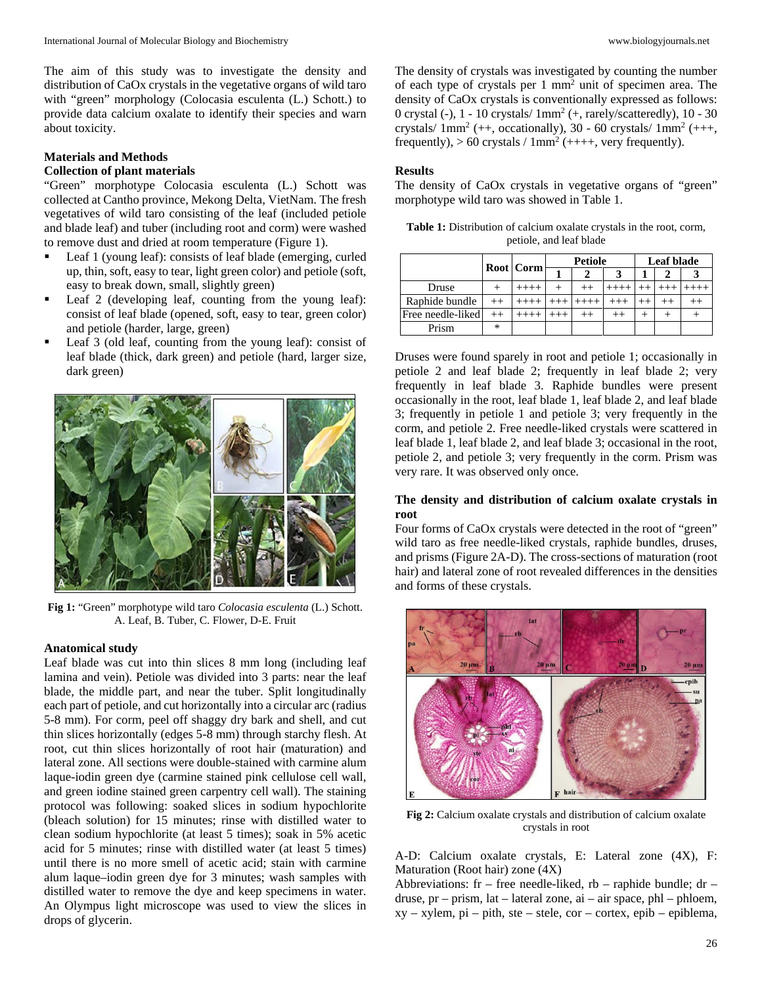The aim of this study was to investigate the density and distribution of CaOx crystals in the vegetative organs of wild taro with "green" morphology (Colocasia esculenta (L.) Schott.) to provide data calcium oxalate to identify their species and warn about toxicity.

### **Materials and Methods Collection of plant materials**

"Green" morphotype Colocasia esculenta (L.) Schott was collected at Cantho province, Mekong Delta, VietNam. The fresh vegetatives of wild taro consisting of the leaf (included petiole and blade leaf) and tuber (including root and corm) were washed to remove dust and dried at room temperature (Figure 1).

- Leaf 1 (young leaf): consists of leaf blade (emerging, curled up, thin, soft, easy to tear, light green color) and petiole (soft, easy to break down, small, slightly green)
- Leaf 2 (developing leaf, counting from the young leaf): consist of leaf blade (opened, soft, easy to tear, green color) and petiole (harder, large, green)
- Leaf 3 (old leaf, counting from the young leaf): consist of leaf blade (thick, dark green) and petiole (hard, larger size, dark green)



**Fig 1:** "Green" morphotype wild taro *Colocasia esculenta* (L.) Schott. A. Leaf, B. Tuber, C. Flower, D-E. Fruit

#### **Anatomical study**

Leaf blade was cut into thin slices 8 mm long (including leaf lamina and vein). Petiole was divided into 3 parts: near the leaf blade, the middle part, and near the tuber. Split longitudinally each part of petiole, and cut horizontally into a circular arc (radius 5-8 mm). For corm, peel off shaggy dry bark and shell, and cut thin slices horizontally (edges 5-8 mm) through starchy flesh. At root, cut thin slices horizontally of root hair (maturation) and lateral zone. All sections were double-stained with carmine alum laque-iodin green dye (carmine stained pink cellulose cell wall, and green iodine stained green carpentry cell wall). The staining protocol was following: soaked slices in sodium hypochlorite (bleach solution) for 15 minutes; rinse with distilled water to clean sodium hypochlorite (at least 5 times); soak in 5% acetic acid for 5 minutes; rinse with distilled water (at least 5 times) until there is no more smell of acetic acid; stain with carmine alum laque–iodin green dye for 3 minutes; wash samples with distilled water to remove the dye and keep specimens in water. An Olympus light microscope was used to view the slices in drops of glycerin.

The density of crystals was investigated by counting the number of each type of crystals per 1 mm2 unit of specimen area. The density of CaOx crystals is conventionally expressed as follows: 0 crystal (-),  $1 - 10$  crystals/  $1mm^2$  (+, rarely/scatteredly),  $10 - 30$ crystals/  $1mm^2$  (++, occationally), 30 - 60 crystals/  $1mm^2$  (+++, frequently),  $> 60$  crystals / 1mm<sup>2</sup> (++++, very frequently).

## **Results**

The density of CaOx crystals in vegetative organs of "green" morphotype wild taro was showed in Table 1.

| <b>Table 1:</b> Distribution of calcium oxalate crystals in the root, corm, |  |
|-----------------------------------------------------------------------------|--|
| petiole, and leaf blade                                                     |  |

|                   | <b>Root</b> Corm |          | <b>Petiole</b> |  |         | Leaf blade |  |  |
|-------------------|------------------|----------|----------------|--|---------|------------|--|--|
|                   |                  |          |                |  |         |            |  |  |
| Druse             |                  | $^{+++}$ |                |  |         |            |  |  |
| Raphide bundle    | $++$             |          |                |  |         |            |  |  |
| Free needle-liked |                  |          |                |  | $^{++}$ |            |  |  |
| Prism             | ∗                |          |                |  |         |            |  |  |

Druses were found sparely in root and petiole 1; occasionally in petiole 2 and leaf blade 2; frequently in leaf blade 2; very frequently in leaf blade 3. Raphide bundles were present occasionally in the root, leaf blade 1, leaf blade 2, and leaf blade 3; frequently in petiole 1 and petiole 3; very frequently in the corm, and petiole 2. Free needle-liked crystals were scattered in leaf blade 1, leaf blade 2, and leaf blade 3; occasional in the root, petiole 2, and petiole 3; very frequently in the corm. Prism was very rare. It was observed only once.

### **The density and distribution of calcium oxalate crystals in root**

Four forms of CaOx crystals were detected in the root of "green" wild taro as free needle-liked crystals, raphide bundles, druses, and prisms (Figure 2A-D). The cross-sections of maturation (root hair) and lateral zone of root revealed differences in the densities and forms of these crystals.



**Fig 2:** Calcium oxalate crystals and distribution of calcium oxalate crystals in root

A-D: Calcium oxalate crystals, E: Lateral zone (4X), F: Maturation (Root hair) zone (4X)

Abbreviations: fr – free needle-liked, rb – raphide bundle;  $dr - dr$ druse, pr – prism, lat – lateral zone, ai – air space, phl – phloem, xy – xylem, pi – pith, ste – stele, cor – cortex, epib – epiblema,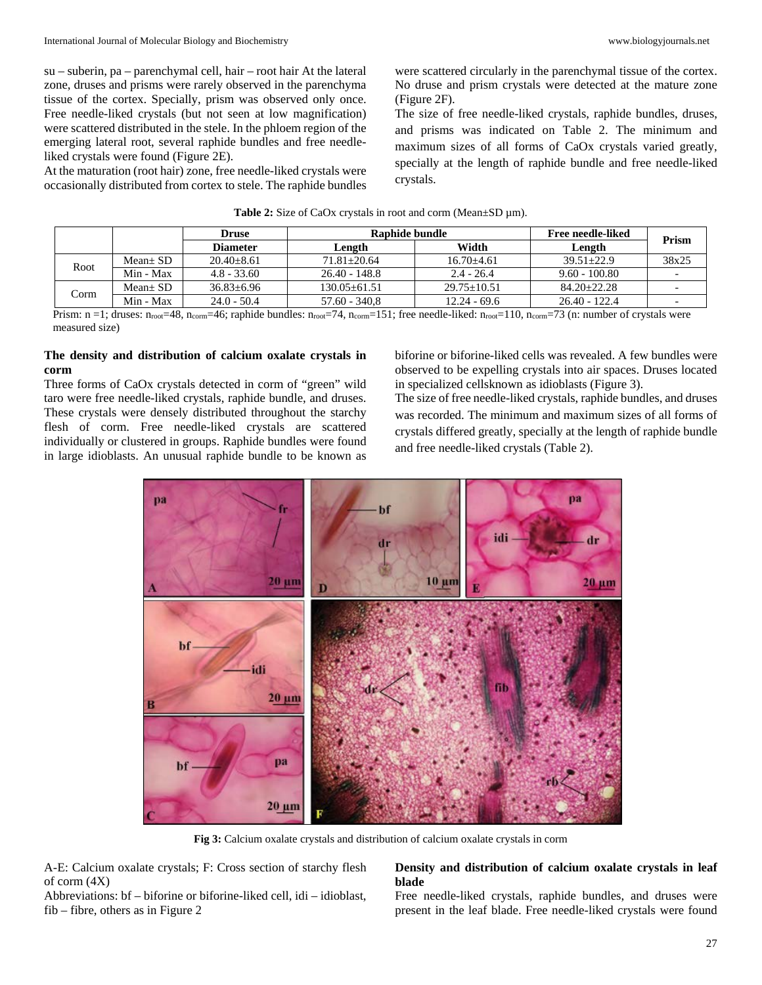su – suberin, pa – parenchymal cell, hair – root hair At the lateral zone, druses and prisms were rarely observed in the parenchyma tissue of the cortex. Specially, prism was observed only once. Free needle-liked crystals (but not seen at low magnification) were scattered distributed in the stele. In the phloem region of the emerging lateral root, several raphide bundles and free needleliked crystals were found (Figure 2E).

At the maturation (root hair) zone, free needle-liked crystals were occasionally distributed from cortex to stele. The raphide bundles

were scattered circularly in the parenchymal tissue of the cortex. No druse and prism crystals were detected at the mature zone (Figure 2F).

The size of free needle-liked crystals, raphide bundles, druses, and prisms was indicated on Table 2. The minimum and maximum sizes of all forms of CaOx crystals varied greatly, specially at the length of raphide bundle and free needle-liked crystals.

|      |             | <b>Druse</b>    | Raphide bundle   |                 | Free needle-liked |       |  |
|------|-------------|-----------------|------------------|-----------------|-------------------|-------|--|
|      |             | <b>Diameter</b> | Length           | Width           | Length            | Prism |  |
| Root | $Mean + SD$ | $20.40 + 8.61$  | $71.81 + 20.64$  | $16.70 + 4.61$  | $39.51 + 22.9$    | 38x25 |  |
|      | Min - Max   | $4.8 - 33.60$   | $26.40 - 148.8$  | $2.4 - 26.4$    | $9.60 - 100.80$   |       |  |
| Corm | $Mean + SD$ | $36.83 + 6.96$  | $130.05 + 61.51$ | $29.75 + 10.51$ | $84.20 + 22.28$   |       |  |
|      | Min - Max   | $24.0 - 50.4$   | $57.60 - 340.8$  | $12.24 - 69.6$  | $26.40 - 122.4$   |       |  |

#### **Table 2:** Size of CaOx crystals in root and corm (Mean±SD µm).

Prism: n =1; druses:  $n_{\text{root}}=48$ ,  $n_{\text{comm}}=46$ ; raphide bundles:  $n_{\text{root}}=74$ ,  $n_{\text{comm}}=151$ ; free needle-liked:  $n_{\text{root}}=110$ ,  $n_{\text{comm}}=73$  (n: number of crystals were measured size)

## **The density and distribution of calcium oxalate crystals in corm**

Three forms of CaOx crystals detected in corm of "green" wild taro were free needle-liked crystals, raphide bundle, and druses. These crystals were densely distributed throughout the starchy flesh of corm. Free needle-liked crystals are scattered individually or clustered in groups. Raphide bundles were found in large idioblasts. An unusual raphide bundle to be known as biforine or biforine-liked cells was revealed. A few bundles were observed to be expelling crystals into air spaces. Druses located in specialized cellsknown as idioblasts (Figure 3).

The size of free needle-liked crystals, raphide bundles, and druses was recorded. The minimum and maximum sizes of all forms of crystals differed greatly, specially at the length of raphide bundle and free needle-liked crystals (Table 2).



**Fig 3:** Calcium oxalate crystals and distribution of calcium oxalate crystals in corm

A-E: Calcium oxalate crystals; F: Cross section of starchy flesh of corm (4X)

#### Abbreviations: bf – biforine or biforine-liked cell, idi – idioblast, fib – fibre, others as in Figure 2

## **Density and distribution of calcium oxalate crystals in leaf blade**

Free needle-liked crystals, raphide bundles, and druses were present in the leaf blade. Free needle-liked crystals were found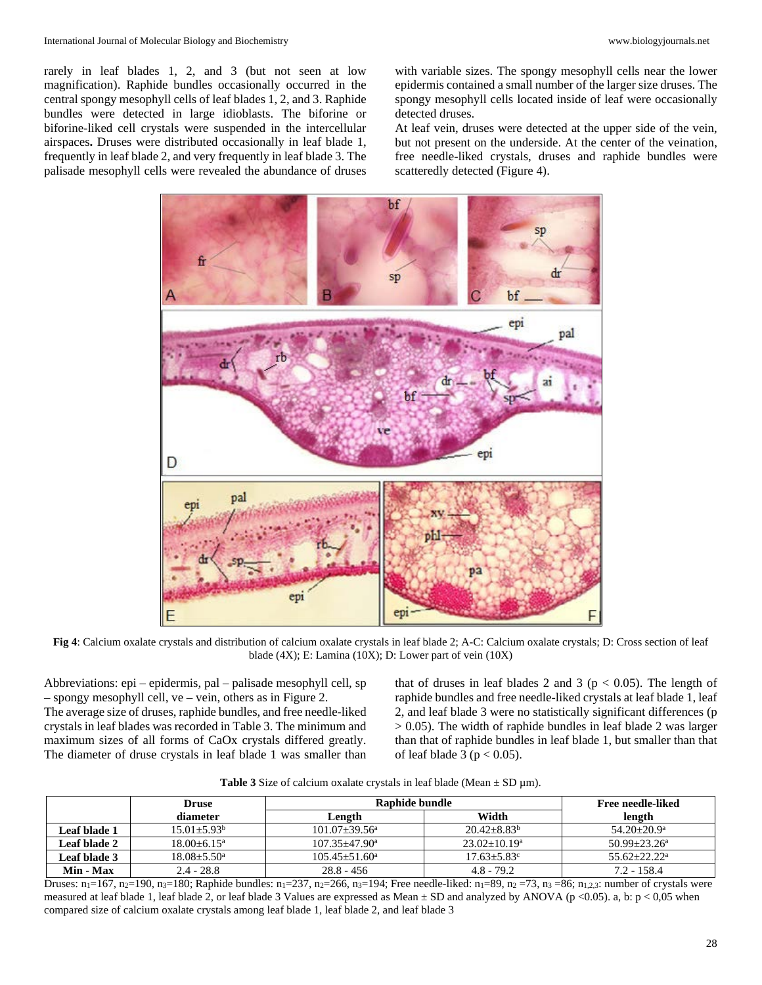rarely in leaf blades 1, 2, and 3 (but not seen at low magnification). Raphide bundles occasionally occurred in the central spongy mesophyll cells of leaf blades 1, 2, and 3. Raphide bundles were detected in large idioblasts. The biforine or biforine-liked cell crystals were suspended in the intercellular airspaces**.** Druses were distributed occasionally in leaf blade 1, frequently in leaf blade 2, and very frequently in leaf blade 3. The palisade mesophyll cells were revealed the abundance of druses

with variable sizes. The spongy mesophyll cells near the lower epidermis contained a small number of the larger size druses. The spongy mesophyll cells located inside of leaf were occasionally detected druses.

At leaf vein, druses were detected at the upper side of the vein, but not present on the underside. At the center of the veination, free needle-liked crystals, druses and raphide bundles were scatteredly detected (Figure 4).



**Fig 4**: Calcium oxalate crystals and distribution of calcium oxalate crystals in leaf blade 2; A-C: Calcium oxalate crystals; D: Cross section of leaf blade (4X); E: Lamina (10X); D: Lower part of vein (10X)

Abbreviations: epi – epidermis, pal – palisade mesophyll cell, sp – spongy mesophyll cell, ve – vein, others as in Figure 2. The average size of druses, raphide bundles, and free needle-liked crystals in leaf blades was recorded in Table 3. The minimum and maximum sizes of all forms of CaOx crystals differed greatly. The diameter of druse crystals in leaf blade 1 was smaller than

that of druses in leaf blades 2 and 3 ( $p < 0.05$ ). The length of raphide bundles and free needle-liked crystals at leaf blade 1, leaf 2, and leaf blade 3 were no statistically significant differences (p  $> 0.05$ ). The width of raphide bundles in leaf blade 2 was larger than that of raphide bundles in leaf blade 1, but smaller than that of leaf blade 3 ( $p < 0.05$ ).

|  | <b>Table 3</b> Size of calcium oxalate crystals in leaf blade (Mean $\pm$ SD $\mu$ m). |  |
|--|----------------------------------------------------------------------------------------|--|
|  |                                                                                        |  |

|                     | <b>Druse</b>           | Raphide bundle           | Free needle-liked           |                        |
|---------------------|------------------------|--------------------------|-----------------------------|------------------------|
|                     | diameter               | Length                   | Width                       | length                 |
| Leaf blade 1        | $15.01 + 5.93^{\circ}$ | $101.07 + 39.56^a$       | $20.42 + 8.83^b$            | $54.20 + 20.9^{\circ}$ |
| Leaf blade 2        | $18.00 + 6.15^a$       | $107.35 + 47.90^{\circ}$ | $23.02+10.19^a$             | $50.99 + 23.26^a$      |
| <b>Leaf blade 3</b> | $18.08 + 5.50^{\circ}$ | $105.45 + 51.60^a$       | $17.63 + 5.83$ <sup>c</sup> | $55.62 + 22.22^a$      |
| Min - Max           | $2.4 - 28.8$           | $28.8 - 456$             | $4.8 - 79.2$                | $7.2 - 158.4$          |

Druses: n<sub>1</sub>=167, n<sub>2</sub>=190, n<sub>3</sub>=180; Raphide bundles: n<sub>1</sub>=237, n<sub>2</sub>=266, n<sub>3</sub>=194; Free needle-liked: n<sub>1</sub>=89, n<sub>2</sub> =73, n<sub>3</sub> =86; n<sub>1,2,3</sub>: number of crystals were measured at leaf blade 1, leaf blade 2, or leaf blade 3 Values are expressed as Mean  $\pm$  SD and analyzed by ANOVA (p <0.05). a, b: p < 0.05 when compared size of calcium oxalate crystals among leaf blade 1, leaf blade 2, and leaf blade 3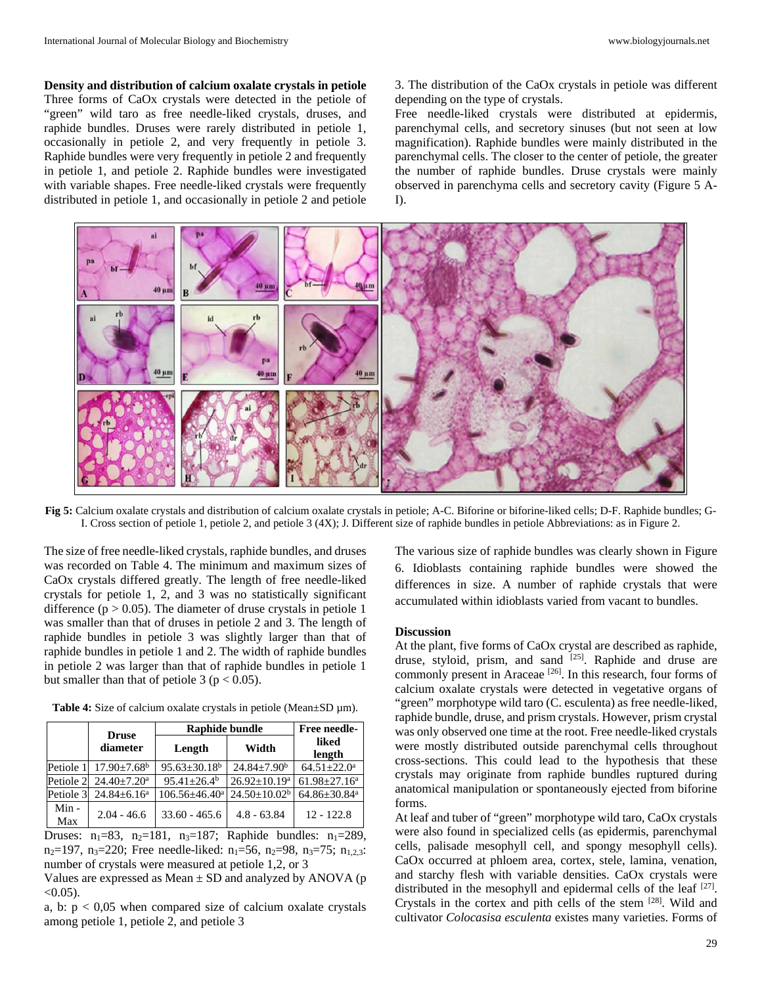**Density and distribution of calcium oxalate crystals in petiole** Three forms of CaOx crystals were detected in the petiole of "green" wild taro as free needle-liked crystals, druses, and raphide bundles. Druses were rarely distributed in petiole 1, occasionally in petiole 2, and very frequently in petiole 3. Raphide bundles were very frequently in petiole 2 and frequently in petiole 1, and petiole 2. Raphide bundles were investigated with variable shapes. Free needle-liked crystals were frequently distributed in petiole 1, and occasionally in petiole 2 and petiole

3. The distribution of the CaOx crystals in petiole was different depending on the type of crystals.

Free needle-liked crystals were distributed at epidermis, parenchymal cells, and secretory sinuses (but not seen at low magnification). Raphide bundles were mainly distributed in the parenchymal cells. The closer to the center of petiole, the greater the number of raphide bundles. Druse crystals were mainly observed in parenchyma cells and secretory cavity (Figure 5 A-I).



**Fig 5:** Calcium oxalate crystals and distribution of calcium oxalate crystals in petiole; A-C. Biforine or biforine-liked cells; D-F. Raphide bundles; G-I. Cross section of petiole 1, petiole 2, and petiole 3 (4X); J. Different size of raphide bundles in petiole Abbreviations: as in Figure 2.

The size of free needle-liked crystals, raphide bundles, and druses was recorded on Table 4. The minimum and maximum sizes of CaOx crystals differed greatly. The length of free needle-liked crystals for petiole 1, 2, and 3 was no statistically significant difference ( $p > 0.05$ ). The diameter of druse crystals in petiole 1 was smaller than that of druses in petiole 2 and 3. The length of raphide bundles in petiole 3 was slightly larger than that of raphide bundles in petiole 1 and 2. The width of raphide bundles in petiole 2 was larger than that of raphide bundles in petiole 1 but smaller than that of petiole 3 ( $p < 0.05$ ).

Table 4: Size of calcium oxalate crystals in petiole (Mean±SD  $\mu$ m).

|             | <b>Druse</b>                            | Raphide bundle       | <b>Free needle-</b> |                                |
|-------------|-----------------------------------------|----------------------|---------------------|--------------------------------|
|             | diameter                                | Length               | Width               | liked<br>length                |
|             | Petiole 1 $17.90 \pm 7.68$ <sup>b</sup> | $95.63 \pm 30.18^b$  | $24.84 + 7.90^b$    | $64.51 \pm 22.0^a$             |
|             | Petiole 2 $24.40 \pm 7.20^{\circ}$      | $95.41 + 26.4^b$     | $26.92 \pm 10.19^a$ | $61.98 \pm 27.16^a$            |
| Petiole 3   | $24.84 \pm 6.16^a$                      | $106.56 \pm 46.40^a$ | $24.50 \pm 10.02^b$ | $64.86 \pm 30.84$ <sup>a</sup> |
| Min-<br>Max | $2.04 - 46.6$                           | $33.60 - 465.6$      | $4.8 - 63.84$       | $12 - 122.8$                   |

Druses:  $n_1=83$ ,  $n_2=181$ ,  $n_3=187$ ; Raphide bundles:  $n_1=289$ ,  $n_2=197$ ,  $n_3=220$ ; Free needle-liked:  $n_1=56$ ,  $n_2=98$ ,  $n_3=75$ ;  $n_{1,2,3}$ : number of crystals were measured at petiole 1,2, or 3

Values are expressed as Mean  $\pm$  SD and analyzed by ANOVA (p  $< 0.05$ ).

a, b:  $p < 0.05$  when compared size of calcium oxalate crystals among petiole 1, petiole 2, and petiole 3

The various size of raphide bundles was clearly shown in Figure 6. Idioblasts containing raphide bundles were showed the differences in size. A number of raphide crystals that were accumulated within idioblasts varied from vacant to bundles.

#### **Discussion**

At the plant, five forms of CaOx crystal are described as raphide, druse, styloid, prism, and sand <sup>[25]</sup>. Raphide and druse are commonly present in Araceae [26]. In this research, four forms of calcium oxalate crystals were detected in vegetative organs of "green" morphotype wild taro (C. esculenta) as free needle-liked, raphide bundle, druse, and prism crystals. However, prism crystal was only observed one time at the root. Free needle-liked crystals were mostly distributed outside parenchymal cells throughout cross-sections. This could lead to the hypothesis that these crystals may originate from raphide bundles ruptured during anatomical manipulation or spontaneously ejected from biforine forms.

At leaf and tuber of "green" morphotype wild taro, CaOx crystals were also found in specialized cells (as epidermis, parenchymal cells, palisade mesophyll cell, and spongy mesophyll cells). CaOx occurred at phloem area, cortex, stele, lamina, venation, and starchy flesh with variable densities. CaOx crystals were distributed in the mesophyll and epidermal cells of the leaf [27]. Crystals in the cortex and pith cells of the stem [28]. Wild and cultivator *Colocasisa esculenta* existes many varieties. Forms of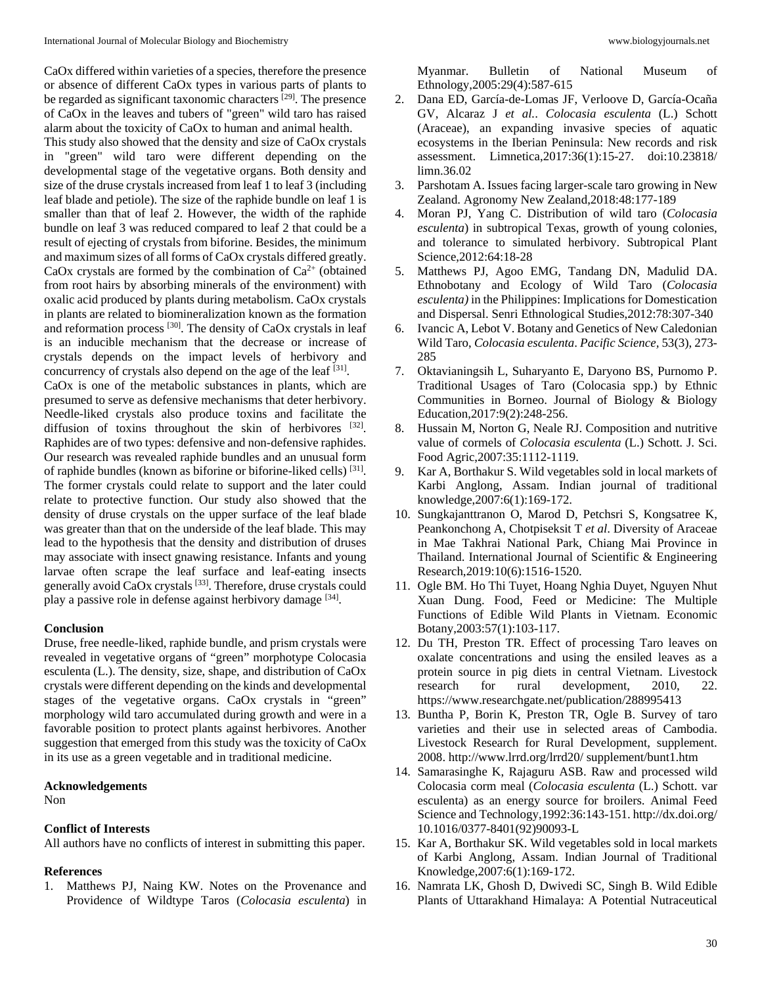CaOx differed within varieties of a species, therefore the presence or absence of different CaOx types in various parts of plants to be regarded as significant taxonomic characters  $[29]$ . The presence of CaOx in the leaves and tubers of "green" wild taro has raised alarm about the toxicity of CaOx to human and animal health.

This study also showed that the density and size of CaOx crystals in "green" wild taro were different depending on the developmental stage of the vegetative organs. Both density and size of the druse crystals increased from leaf 1 to leaf 3 (including leaf blade and petiole). The size of the raphide bundle on leaf 1 is smaller than that of leaf 2. However, the width of the raphide bundle on leaf 3 was reduced compared to leaf 2 that could be a result of ejecting of crystals from biforine. Besides, the minimum and maximum sizes of all forms of CaOx crystals differed greatly. CaOx crystals are formed by the combination of  $Ca^{2+}$  (obtained from root hairs by absorbing minerals of the environment) with oxalic acid produced by plants during metabolism. CaOx crystals in plants are related to biomineralization known as the formation and reformation process [30]. The density of CaOx crystals in leaf is an inducible mechanism that the decrease or increase of crystals depends on the impact levels of herbivory and concurrency of crystals also depend on the age of the leaf  $[31]$ .

CaOx is one of the metabolic substances in plants, which are presumed to serve as defensive mechanisms that deter herbivory. Needle-liked crystals also produce toxins and facilitate the diffusion of toxins throughout the skin of herbivores [32]. Raphides are of two types: defensive and non-defensive raphides. Our research was revealed raphide bundles and an unusual form of raphide bundles (known as biforine or biforine-liked cells) [31]. The former crystals could relate to support and the later could relate to protective function. Our study also showed that the density of druse crystals on the upper surface of the leaf blade was greater than that on the underside of the leaf blade. This may lead to the hypothesis that the density and distribution of druses may associate with insect gnawing resistance. Infants and young larvae often scrape the leaf surface and leaf-eating insects generally avoid CaOx crystals [33]. Therefore, druse crystals could play a passive role in defense against herbivory damage [34].

#### **Conclusion**

Druse, free needle-liked, raphide bundle, and prism crystals were revealed in vegetative organs of "green" morphotype Colocasia esculenta (L.). The density, size, shape, and distribution of CaOx crystals were different depending on the kinds and developmental stages of the vegetative organs. CaOx crystals in "green" morphology wild taro accumulated during growth and were in a favorable position to protect plants against herbivores. Another suggestion that emerged from this study was the toxicity of CaOx in its use as a green vegetable and in traditional medicine.

## **Acknowledgements**

Non

#### **Conflict of Interests**

All authors have no conflicts of interest in submitting this paper.

#### **References**

1. Matthews PJ, Naing KW. Notes on the Provenance and Providence of Wildtype Taros (*Colocasia esculenta*) in

Myanmar. Bulletin of National Museum of Ethnology,2005:29(4):587-615

- 2. Dana ED, García-de-Lomas JF, Verloove D, García-Ocaña GV, Alcaraz J *et al.*. *Colocasia esculenta* (L.) Schott (Araceae), an expanding invasive species of aquatic ecosystems in the Iberian Peninsula: New records and risk assessment. Limnetica,2017:36(1):15-27. doi:10.23818/ limn.36.02
- 3. Parshotam A. Issues facing larger-scale taro growing in New Zealand. Agronomy New Zealand,2018:48:177-189
- 4. Moran PJ, Yang C. Distribution of wild taro (*Colocasia esculenta*) in subtropical Texas, growth of young colonies, and tolerance to simulated herbivory. Subtropical Plant Science,2012:64:18-28
- 5. Matthews PJ, Agoo EMG, Tandang DN, Madulid DA. Ethnobotany and Ecology of Wild Taro (*Colocasia esculenta)* in the Philippines: Implications for Domestication and Dispersal. Senri Ethnological Studies,2012:78:307-340
- 6. Ivancic A, Lebot V. Botany and Genetics of New Caledonian Wild Taro, *Colocasia esculenta*. *Pacific Science,* 53(3), 273- 285
- 7. Oktavianingsih L, Suharyanto E, Daryono BS, Purnomo P. Traditional Usages of Taro (Colocasia spp.) by Ethnic Communities in Borneo. Journal of Biology & Biology Education,2017:9(2):248-256.
- 8. Hussain M, Norton G, Neale RJ. Composition and nutritive value of cormels of *Colocasia esculenta* (L.) Schott. J. Sci. Food Agric,2007:35:1112-1119.
- 9. Kar A, Borthakur S. Wild vegetables sold in local markets of Karbi Anglong, Assam. Indian journal of traditional knowledge,2007:6(1):169-172.
- 10. Sungkajanttranon O, Marod D, Petchsri S, Kongsatree K, Peankonchong A, Chotpiseksit T *et al*. Diversity of Araceae in Mae Takhrai National Park, Chiang Mai Province in Thailand. International Journal of Scientific & Engineering Research,2019:10(6):1516-1520.
- 11. Ogle BM. Ho Thi Tuyet, Hoang Nghia Duyet, Nguyen Nhut Xuan Dung. Food, Feed or Medicine: The Multiple Functions of Edible Wild Plants in Vietnam. Economic Botany,2003:57(1):103-117.
- 12. Du TH, Preston TR. Effect of processing Taro leaves on oxalate concentrations and using the ensiled leaves as a protein source in pig diets in central Vietnam. Livestock research for rural development, 2010, 22. https://www.researchgate.net/publication/288995413
- 13. Buntha P, Borin K, Preston TR, Ogle B. Survey of taro varieties and their use in selected areas of Cambodia. Livestock Research for Rural Development, supplement. 2008. http://www.lrrd.org/lrrd20/ supplement/bunt1.htm
- 14. Samarasinghe K, Rajaguru ASB. Raw and processed wild Colocasia corm meal (*Colocasia esculenta* (L.) Schott. var esculenta) as an energy source for broilers. Animal Feed Science and Technology,1992:36:143-151. http://dx.doi.org/ 10.1016/0377-8401(92)90093-L
- 15. Kar A, Borthakur SK. Wild vegetables sold in local markets of Karbi Anglong, Assam. Indian Journal of Traditional Knowledge,2007:6(1):169-172.
- 16. Namrata LK, Ghosh D, Dwivedi SC, Singh B. Wild Edible Plants of Uttarakhand Himalaya: A Potential Nutraceutical